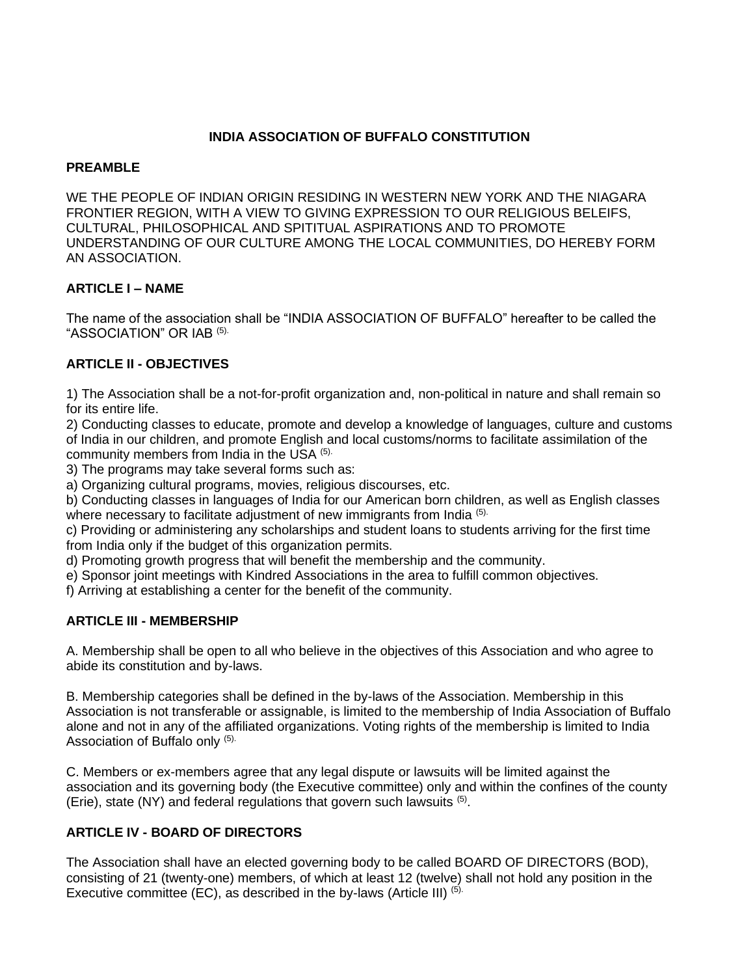## **INDIA ASSOCIATION OF BUFFALO CONSTITUTION**

### **PREAMBLE**

WE THE PEOPLE OF INDIAN ORIGIN RESIDING IN WESTERN NEW YORK AND THE NIAGARA FRONTIER REGION, WITH A VIEW TO GIVING EXPRESSION TO OUR RELIGIOUS BELEIFS, CULTURAL, PHILOSOPHICAL AND SPITITUAL ASPIRATIONS AND TO PROMOTE UNDERSTANDING OF OUR CULTURE AMONG THE LOCAL COMMUNITIES, DO HEREBY FORM AN ASSOCIATION.

#### **ARTICLE I – NAME**

The name of the association shall be "INDIA ASSOCIATION OF BUFFALO" hereafter to be called the "ASSOCIATION" OR IAB (5).

### **ARTICLE II - OBJECTIVES**

1) The Association shall be a not-for-profit organization and, non-political in nature and shall remain so for its entire life.

2) Conducting classes to educate, promote and develop a knowledge of languages, culture and customs of India in our children, and promote English and local customs/norms to facilitate assimilation of the community members from India in the USA (5).

3) The programs may take several forms such as:

a) Organizing cultural programs, movies, religious discourses, etc.

b) Conducting classes in languages of India for our American born children, as well as English classes where necessary to facilitate adjustment of new immigrants from India (5).

c) Providing or administering any scholarships and student loans to students arriving for the first time from India only if the budget of this organization permits.

d) Promoting growth progress that will benefit the membership and the community.

e) Sponsor joint meetings with Kindred Associations in the area to fulfill common objectives.

f) Arriving at establishing a center for the benefit of the community.

### **ARTICLE III - MEMBERSHIP**

A. Membership shall be open to all who believe in the objectives of this Association and who agree to abide its constitution and by-laws.

B. Membership categories shall be defined in the by-laws of the Association. Membership in this Association is not transferable or assignable, is limited to the membership of India Association of Buffalo alone and not in any of the affiliated organizations. Voting rights of the membership is limited to India Association of Buffalo only (5).

C. Members or ex-members agree that any legal dispute or lawsuits will be limited against the association and its governing body (the Executive committee) only and within the confines of the county (Erie), state (NY) and federal regulations that govern such lawsuits  $(5)$ .

### **ARTICLE IV - BOARD OF DIRECTORS**

The Association shall have an elected governing body to be called BOARD OF DIRECTORS (BOD), consisting of 21 (twenty-one) members, of which at least 12 (twelve) shall not hold any position in the Executive committee (EC), as described in the by-laws (Article III) (5).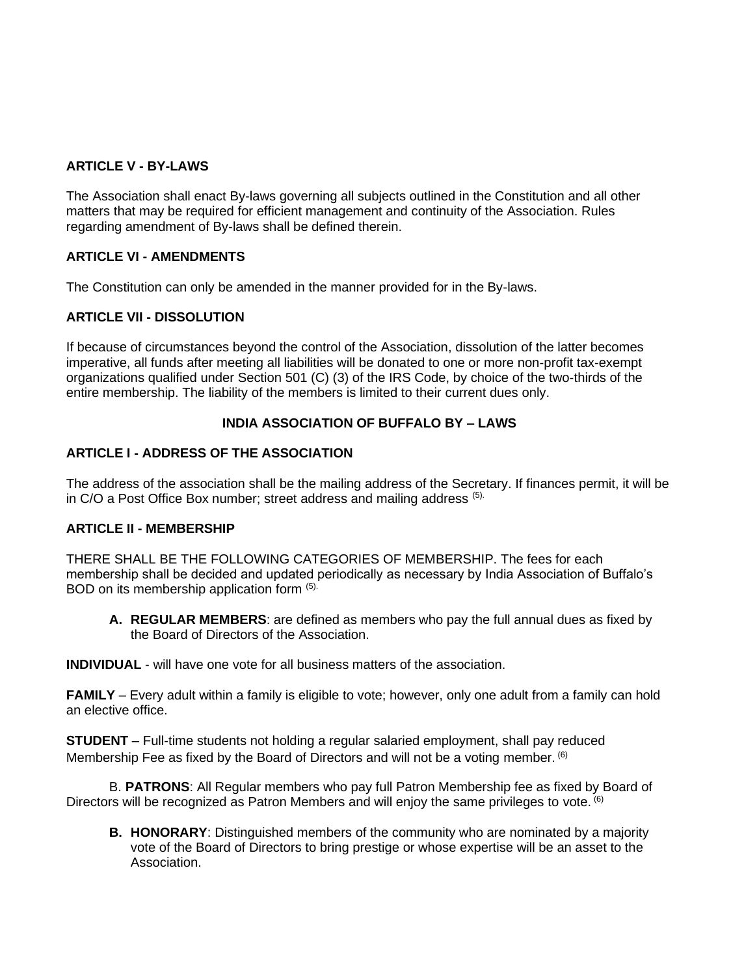## **ARTICLE V - BY-LAWS**

The Association shall enact By-laws governing all subjects outlined in the Constitution and all other matters that may be required for efficient management and continuity of the Association. Rules regarding amendment of By-laws shall be defined therein.

### **ARTICLE VI - AMENDMENTS**

The Constitution can only be amended in the manner provided for in the By-laws.

### **ARTICLE VII - DISSOLUTION**

If because of circumstances beyond the control of the Association, dissolution of the latter becomes imperative, all funds after meeting all liabilities will be donated to one or more non-profit tax-exempt organizations qualified under Section 501 (C) (3) of the IRS Code, by choice of the two-thirds of the entire membership. The liability of the members is limited to their current dues only.

### **INDIA ASSOCIATION OF BUFFALO BY – LAWS**

#### **ARTICLE I - ADDRESS OF THE ASSOCIATION**

The address of the association shall be the mailing address of the Secretary. If finances permit, it will be in C/O a Post Office Box number; street address and mailing address (5).

#### **ARTICLE II - MEMBERSHIP**

THERE SHALL BE THE FOLLOWING CATEGORIES OF MEMBERSHIP. The fees for each membership shall be decided and updated periodically as necessary by India Association of Buffalo's BOD on its membership application form (5).

**A. REGULAR MEMBERS**: are defined as members who pay the full annual dues as fixed by the Board of Directors of the Association.

**INDIVIDUAL** - will have one vote for all business matters of the association.

**FAMILY** – Every adult within a family is eligible to vote; however, only one adult from a family can hold an elective office.

**STUDENT** – Full-time students not holding a regular salaried employment, shall pay reduced Membership Fee as fixed by the Board of Directors and will not be a voting member. (6)

B. **PATRONS**: All Regular members who pay full Patron Membership fee as fixed by Board of Directors will be recognized as Patron Members and will enjoy the same privileges to vote. <sup>(6)</sup>

**B. HONORARY**: Distinguished members of the community who are nominated by a majority vote of the Board of Directors to bring prestige or whose expertise will be an asset to the Association.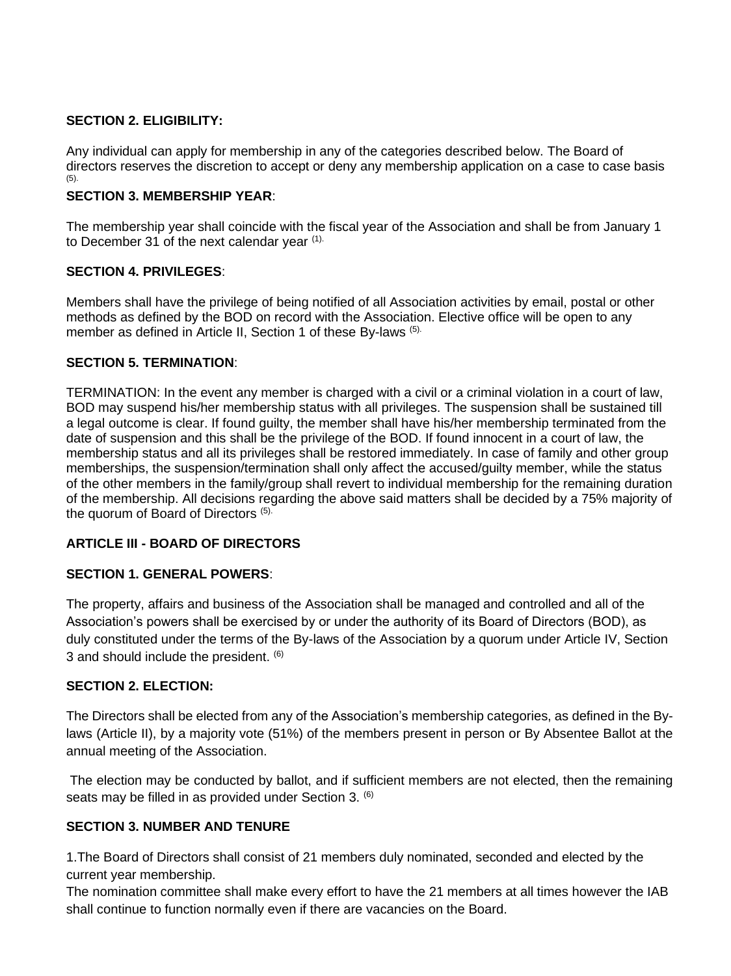### **SECTION 2. ELIGIBILITY:**

Any individual can apply for membership in any of the categories described below. The Board of directors reserves the discretion to accept or deny any membership application on a case to case basis (5).

# **SECTION 3. MEMBERSHIP YEAR**:

The membership year shall coincide with the fiscal year of the Association and shall be from January 1 to December 31 of the next calendar year (1).

### **SECTION 4. PRIVILEGES**:

Members shall have the privilege of being notified of all Association activities by email, postal or other methods as defined by the BOD on record with the Association. Elective office will be open to any member as defined in Article II, Section 1 of these By-laws (5).

## **SECTION 5. TERMINATION**:

TERMINATION: In the event any member is charged with a civil or a criminal violation in a court of law, BOD may suspend his/her membership status with all privileges. The suspension shall be sustained till a legal outcome is clear. If found guilty, the member shall have his/her membership terminated from the date of suspension and this shall be the privilege of the BOD. If found innocent in a court of law, the membership status and all its privileges shall be restored immediately. In case of family and other group memberships, the suspension/termination shall only affect the accused/guilty member, while the status of the other members in the family/group shall revert to individual membership for the remaining duration of the membership. All decisions regarding the above said matters shall be decided by a 75% majority of the quorum of Board of Directors (5).

# **ARTICLE III - BOARD OF DIRECTORS**

### **SECTION 1. GENERAL POWERS**:

The property, affairs and business of the Association shall be managed and controlled and all of the Association's powers shall be exercised by or under the authority of its Board of Directors (BOD), as duly constituted under the terms of the By-laws of the Association by a quorum under Article IV, Section 3 and should include the president. (6)

### **SECTION 2. ELECTION:**

The Directors shall be elected from any of the Association's membership categories, as defined in the Bylaws (Article II), by a majority vote (51%) of the members present in person or By Absentee Ballot at the annual meeting of the Association.

The election may be conducted by ballot, and if sufficient members are not elected, then the remaining seats may be filled in as provided under Section 3. <sup>(6)</sup>

# **SECTION 3. NUMBER AND TENURE**

1.The Board of Directors shall consist of 21 members duly nominated, seconded and elected by the current year membership.

The nomination committee shall make every effort to have the 21 members at all times however the IAB shall continue to function normally even if there are vacancies on the Board.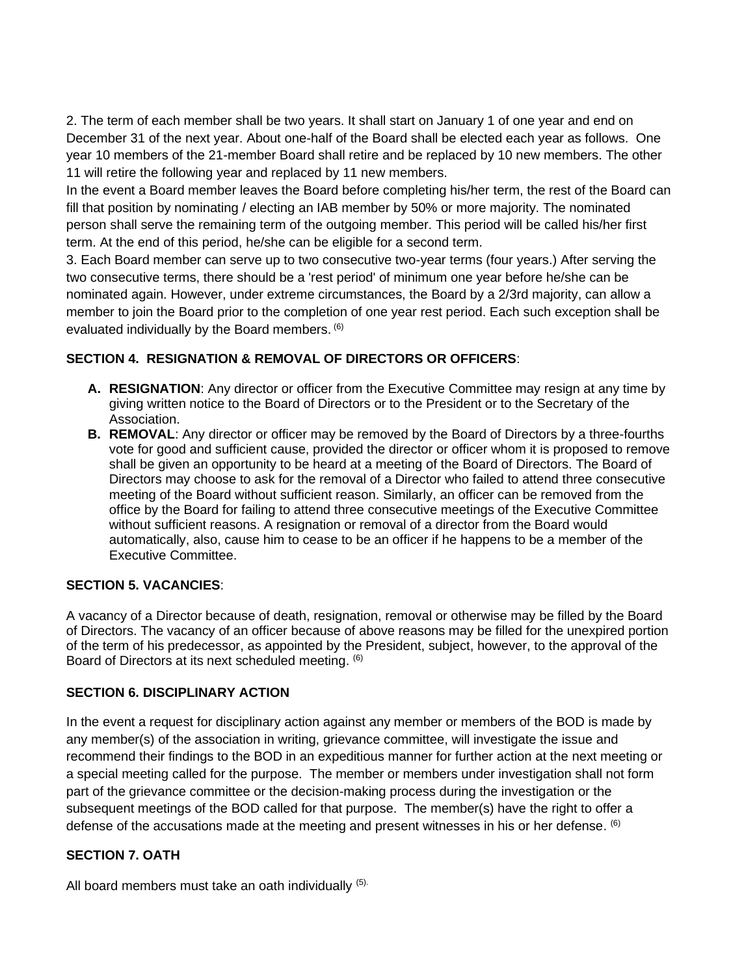2. The term of each member shall be two years. It shall start on January 1 of one year and end on December 31 of the next year. About one-half of the Board shall be elected each year as follows. One year 10 members of the 21-member Board shall retire and be replaced by 10 new members. The other 11 will retire the following year and replaced by 11 new members.

In the event a Board member leaves the Board before completing his/her term, the rest of the Board can fill that position by nominating / electing an IAB member by 50% or more majority. The nominated person shall serve the remaining term of the outgoing member. This period will be called his/her first term. At the end of this period, he/she can be eligible for a second term.

3. Each Board member can serve up to two consecutive two-year terms (four years.) After serving the two consecutive terms, there should be a 'rest period' of minimum one year before he/she can be nominated again. However, under extreme circumstances, the Board by a 2/3rd majority, can allow a member to join the Board prior to the completion of one year rest period. Each such exception shall be evaluated individually by the Board members. (6)

# **SECTION 4. RESIGNATION & REMOVAL OF DIRECTORS OR OFFICERS**:

- **A. RESIGNATION**: Any director or officer from the Executive Committee may resign at any time by giving written notice to the Board of Directors or to the President or to the Secretary of the Association.
- **B. REMOVAL**: Any director or officer may be removed by the Board of Directors by a three-fourths vote for good and sufficient cause, provided the director or officer whom it is proposed to remove shall be given an opportunity to be heard at a meeting of the Board of Directors. The Board of Directors may choose to ask for the removal of a Director who failed to attend three consecutive meeting of the Board without sufficient reason. Similarly, an officer can be removed from the office by the Board for failing to attend three consecutive meetings of the Executive Committee without sufficient reasons. A resignation or removal of a director from the Board would automatically, also, cause him to cease to be an officer if he happens to be a member of the Executive Committee.

### **SECTION 5. VACANCIES**:

A vacancy of a Director because of death, resignation, removal or otherwise may be filled by the Board of Directors. The vacancy of an officer because of above reasons may be filled for the unexpired portion of the term of his predecessor, as appointed by the President, subject, however, to the approval of the Board of Directors at its next scheduled meeting. (6)

### **SECTION 6. DISCIPLINARY ACTION**

In the event a request for disciplinary action against any member or members of the BOD is made by any member(s) of the association in writing, grievance committee, will investigate the issue and recommend their findings to the BOD in an expeditious manner for further action at the next meeting or a special meeting called for the purpose. The member or members under investigation shall not form part of the grievance committee or the decision-making process during the investigation or the subsequent meetings of the BOD called for that purpose. The member(s) have the right to offer a defense of the accusations made at the meeting and present witnesses in his or her defense. <sup>(6)</sup>

### **SECTION 7. OATH**

All board members must take an oath individually (5).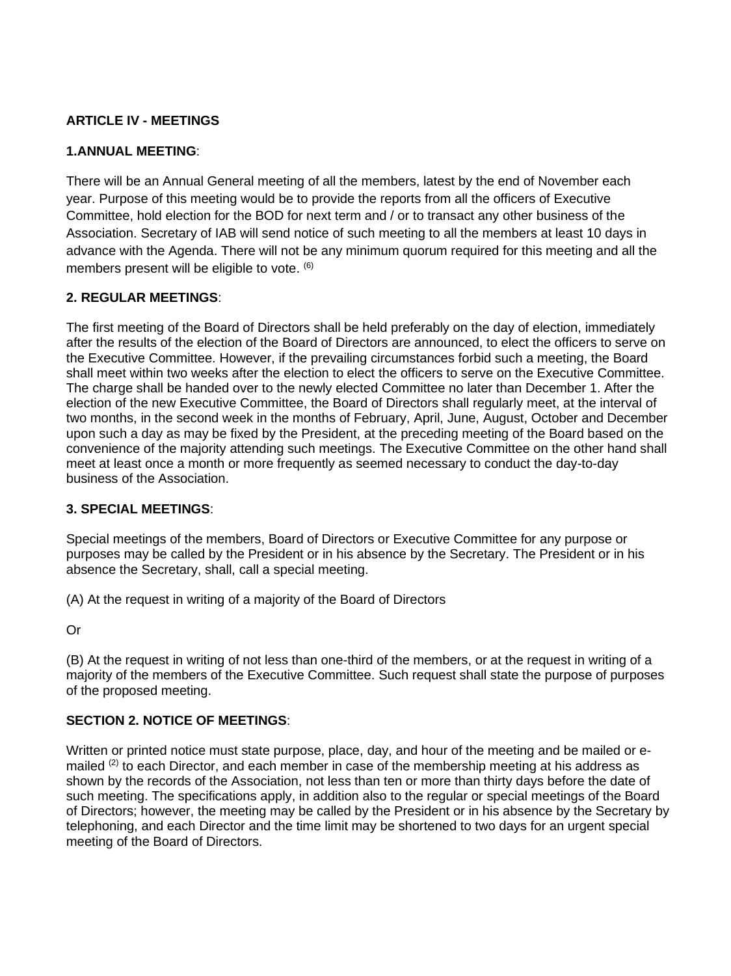## **ARTICLE IV - MEETINGS**

### **1.ANNUAL MEETING**:

There will be an Annual General meeting of all the members, latest by the end of November each year. Purpose of this meeting would be to provide the reports from all the officers of Executive Committee, hold election for the BOD for next term and / or to transact any other business of the Association. Secretary of IAB will send notice of such meeting to all the members at least 10 days in advance with the Agenda. There will not be any minimum quorum required for this meeting and all the members present will be eligible to vote. (6)

### **2. REGULAR MEETINGS**:

The first meeting of the Board of Directors shall be held preferably on the day of election, immediately after the results of the election of the Board of Directors are announced, to elect the officers to serve on the Executive Committee. However, if the prevailing circumstances forbid such a meeting, the Board shall meet within two weeks after the election to elect the officers to serve on the Executive Committee. The charge shall be handed over to the newly elected Committee no later than December 1. After the election of the new Executive Committee, the Board of Directors shall regularly meet, at the interval of two months, in the second week in the months of February, April, June, August, October and December upon such a day as may be fixed by the President, at the preceding meeting of the Board based on the convenience of the majority attending such meetings. The Executive Committee on the other hand shall meet at least once a month or more frequently as seemed necessary to conduct the day-to-day business of the Association.

### **3. SPECIAL MEETINGS**:

Special meetings of the members, Board of Directors or Executive Committee for any purpose or purposes may be called by the President or in his absence by the Secretary. The President or in his absence the Secretary, shall, call a special meeting.

(A) At the request in writing of a majority of the Board of Directors

Or

(B) At the request in writing of not less than one-third of the members, or at the request in writing of a majority of the members of the Executive Committee. Such request shall state the purpose of purposes of the proposed meeting.

### **SECTION 2. NOTICE OF MEETINGS**:

Written or printed notice must state purpose, place, day, and hour of the meeting and be mailed or emailed (2) to each Director, and each member in case of the membership meeting at his address as shown by the records of the Association, not less than ten or more than thirty days before the date of such meeting. The specifications apply, in addition also to the regular or special meetings of the Board of Directors; however, the meeting may be called by the President or in his absence by the Secretary by telephoning, and each Director and the time limit may be shortened to two days for an urgent special meeting of the Board of Directors.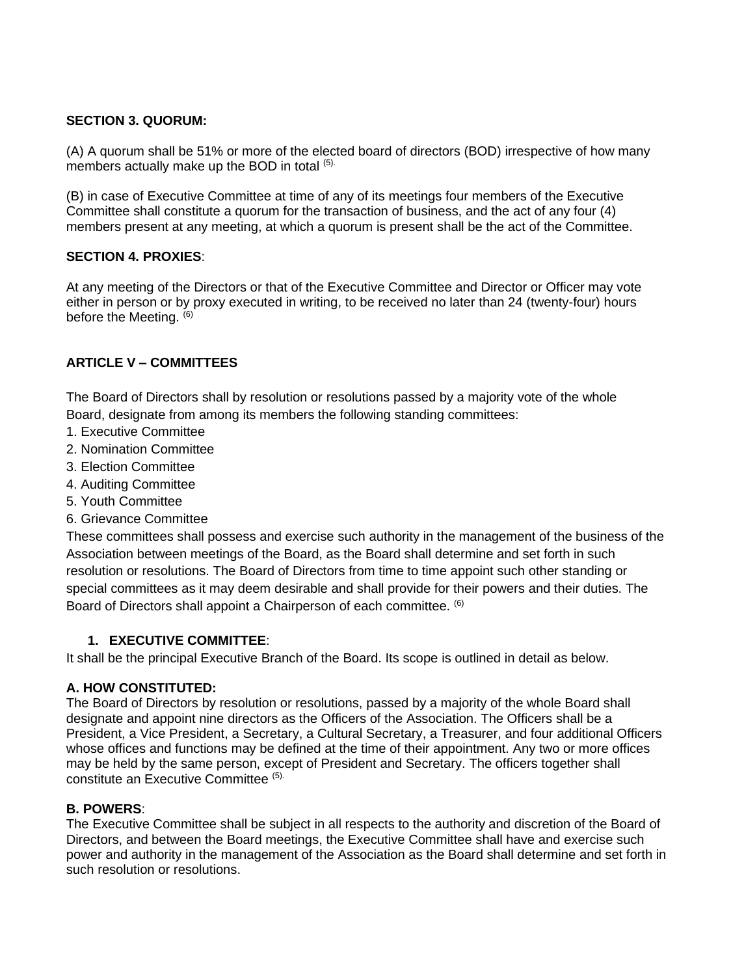### **SECTION 3. QUORUM:**

(A) A quorum shall be 51% or more of the elected board of directors (BOD) irrespective of how many members actually make up the BOD in total (5).

(B) in case of Executive Committee at time of any of its meetings four members of the Executive Committee shall constitute a quorum for the transaction of business, and the act of any four (4) members present at any meeting, at which a quorum is present shall be the act of the Committee.

## **SECTION 4. PROXIES**:

At any meeting of the Directors or that of the Executive Committee and Director or Officer may vote either in person or by proxy executed in writing, to be received no later than 24 (twenty-four) hours before the Meeting.  $(6)$ 

## **ARTICLE V – COMMITTEES**

The Board of Directors shall by resolution or resolutions passed by a majority vote of the whole Board, designate from among its members the following standing committees:

- 1. Executive Committee
- 2. Nomination Committee
- 3. Election Committee
- 4. Auditing Committee
- 5. Youth Committee
- 6. Grievance Committee

These committees shall possess and exercise such authority in the management of the business of the Association between meetings of the Board, as the Board shall determine and set forth in such resolution or resolutions. The Board of Directors from time to time appoint such other standing or special committees as it may deem desirable and shall provide for their powers and their duties. The Board of Directors shall appoint a Chairperson of each committee. <sup>(6)</sup>

### **1. EXECUTIVE COMMITTEE**:

It shall be the principal Executive Branch of the Board. Its scope is outlined in detail as below.

### **A. HOW CONSTITUTED:**

The Board of Directors by resolution or resolutions, passed by a majority of the whole Board shall designate and appoint nine directors as the Officers of the Association. The Officers shall be a President, a Vice President, a Secretary, a Cultural Secretary, a Treasurer, and four additional Officers whose offices and functions may be defined at the time of their appointment. Any two or more offices may be held by the same person, except of President and Secretary. The officers together shall constitute an Executive Committee (5).

# **B. POWERS**:

The Executive Committee shall be subject in all respects to the authority and discretion of the Board of Directors, and between the Board meetings, the Executive Committee shall have and exercise such power and authority in the management of the Association as the Board shall determine and set forth in such resolution or resolutions.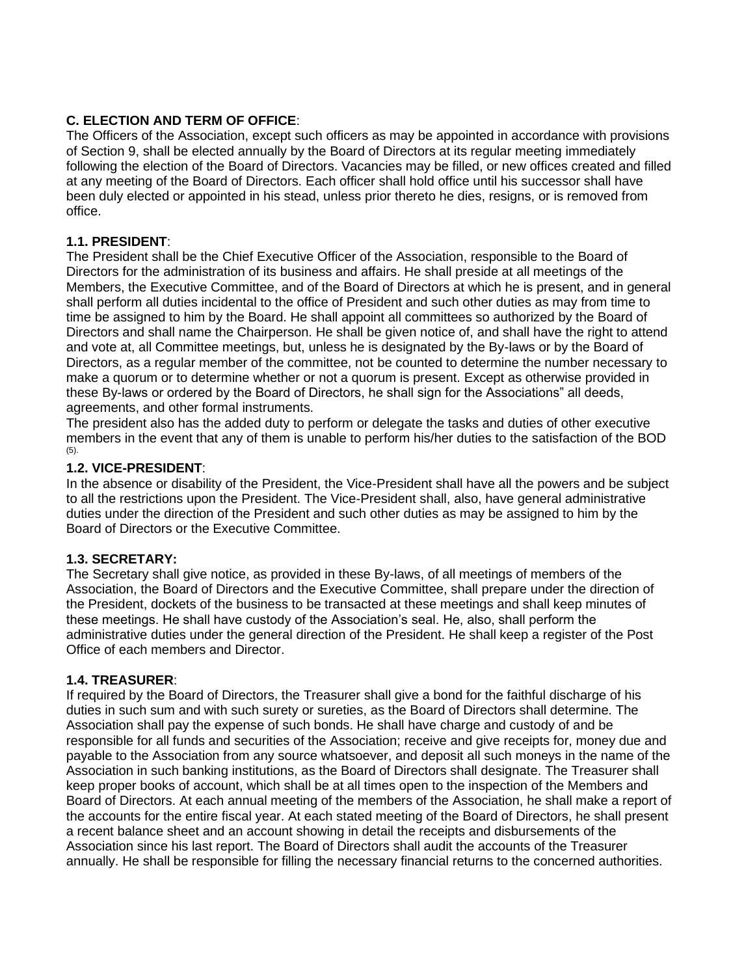## **C. ELECTION AND TERM OF OFFICE**:

The Officers of the Association, except such officers as may be appointed in accordance with provisions of Section 9, shall be elected annually by the Board of Directors at its regular meeting immediately following the election of the Board of Directors. Vacancies may be filled, or new offices created and filled at any meeting of the Board of Directors. Each officer shall hold office until his successor shall have been duly elected or appointed in his stead, unless prior thereto he dies, resigns, or is removed from office.

### **1.1. PRESIDENT**:

The President shall be the Chief Executive Officer of the Association, responsible to the Board of Directors for the administration of its business and affairs. He shall preside at all meetings of the Members, the Executive Committee, and of the Board of Directors at which he is present, and in general shall perform all duties incidental to the office of President and such other duties as may from time to time be assigned to him by the Board. He shall appoint all committees so authorized by the Board of Directors and shall name the Chairperson. He shall be given notice of, and shall have the right to attend and vote at, all Committee meetings, but, unless he is designated by the By-laws or by the Board of Directors, as a regular member of the committee, not be counted to determine the number necessary to make a quorum or to determine whether or not a quorum is present. Except as otherwise provided in these By-laws or ordered by the Board of Directors, he shall sign for the Associations" all deeds, agreements, and other formal instruments.

The president also has the added duty to perform or delegate the tasks and duties of other executive members in the event that any of them is unable to perform his/her duties to the satisfaction of the BOD (5).

### **1.2. VICE-PRESIDENT**:

In the absence or disability of the President, the Vice-President shall have all the powers and be subject to all the restrictions upon the President. The Vice-President shall, also, have general administrative duties under the direction of the President and such other duties as may be assigned to him by the Board of Directors or the Executive Committee.

### **1.3. SECRETARY:**

The Secretary shall give notice, as provided in these By-laws, of all meetings of members of the Association, the Board of Directors and the Executive Committee, shall prepare under the direction of the President, dockets of the business to be transacted at these meetings and shall keep minutes of these meetings. He shall have custody of the Association's seal. He, also, shall perform the administrative duties under the general direction of the President. He shall keep a register of the Post Office of each members and Director.

### **1.4. TREASURER**:

If required by the Board of Directors, the Treasurer shall give a bond for the faithful discharge of his duties in such sum and with such surety or sureties, as the Board of Directors shall determine. The Association shall pay the expense of such bonds. He shall have charge and custody of and be responsible for all funds and securities of the Association; receive and give receipts for, money due and payable to the Association from any source whatsoever, and deposit all such moneys in the name of the Association in such banking institutions, as the Board of Directors shall designate. The Treasurer shall keep proper books of account, which shall be at all times open to the inspection of the Members and Board of Directors. At each annual meeting of the members of the Association, he shall make a report of the accounts for the entire fiscal year. At each stated meeting of the Board of Directors, he shall present a recent balance sheet and an account showing in detail the receipts and disbursements of the Association since his last report. The Board of Directors shall audit the accounts of the Treasurer annually. He shall be responsible for filling the necessary financial returns to the concerned authorities.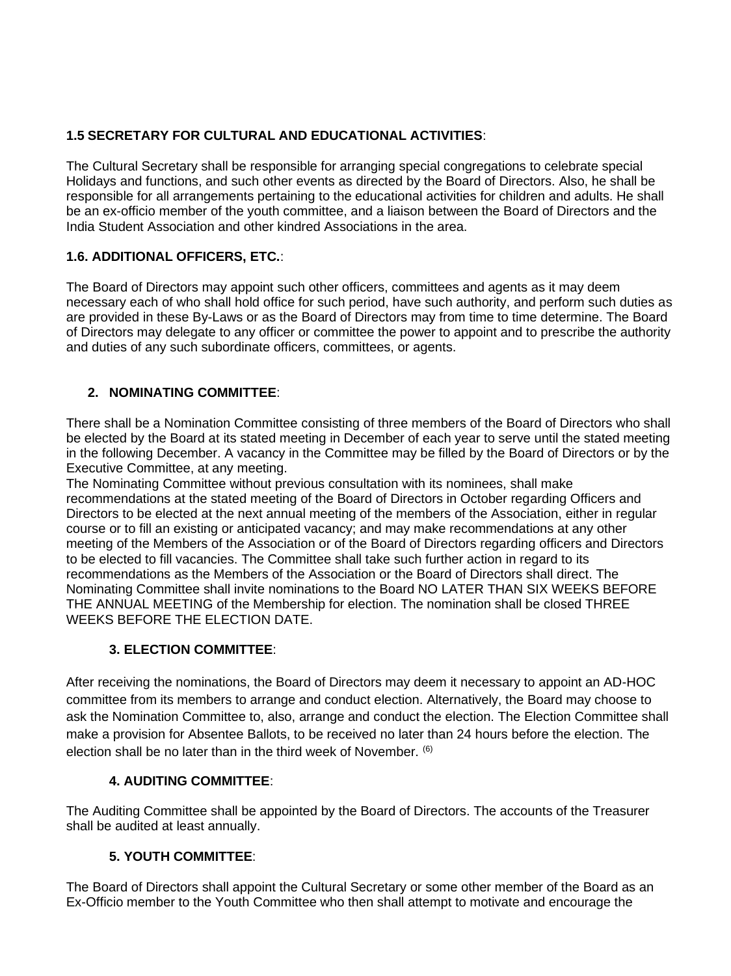# **1.5 SECRETARY FOR CULTURAL AND EDUCATIONAL ACTIVITIES**:

The Cultural Secretary shall be responsible for arranging special congregations to celebrate special Holidays and functions, and such other events as directed by the Board of Directors. Also, he shall be responsible for all arrangements pertaining to the educational activities for children and adults. He shall be an ex-officio member of the youth committee, and a liaison between the Board of Directors and the India Student Association and other kindred Associations in the area.

# **1.6. ADDITIONAL OFFICERS, ETC.**:

The Board of Directors may appoint such other officers, committees and agents as it may deem necessary each of who shall hold office for such period, have such authority, and perform such duties as are provided in these By-Laws or as the Board of Directors may from time to time determine. The Board of Directors may delegate to any officer or committee the power to appoint and to prescribe the authority and duties of any such subordinate officers, committees, or agents.

# **2. NOMINATING COMMITTEE**:

There shall be a Nomination Committee consisting of three members of the Board of Directors who shall be elected by the Board at its stated meeting in December of each year to serve until the stated meeting in the following December. A vacancy in the Committee may be filled by the Board of Directors or by the Executive Committee, at any meeting.

The Nominating Committee without previous consultation with its nominees, shall make recommendations at the stated meeting of the Board of Directors in October regarding Officers and Directors to be elected at the next annual meeting of the members of the Association, either in regular course or to fill an existing or anticipated vacancy; and may make recommendations at any other meeting of the Members of the Association or of the Board of Directors regarding officers and Directors to be elected to fill vacancies. The Committee shall take such further action in regard to its recommendations as the Members of the Association or the Board of Directors shall direct. The Nominating Committee shall invite nominations to the Board NO LATER THAN SIX WEEKS BEFORE THE ANNUAL MEETING of the Membership for election. The nomination shall be closed THREE WEEKS BEFORE THE ELECTION DATE.

# **3. ELECTION COMMITTEE**:

After receiving the nominations, the Board of Directors may deem it necessary to appoint an AD-HOC committee from its members to arrange and conduct election. Alternatively, the Board may choose to ask the Nomination Committee to, also, arrange and conduct the election. The Election Committee shall make a provision for Absentee Ballots, to be received no later than 24 hours before the election. The election shall be no later than in the third week of November.  $(6)$ 

# **4. AUDITING COMMITTEE**:

The Auditing Committee shall be appointed by the Board of Directors. The accounts of the Treasurer shall be audited at least annually.

# **5. YOUTH COMMITTEE**:

The Board of Directors shall appoint the Cultural Secretary or some other member of the Board as an Ex-Officio member to the Youth Committee who then shall attempt to motivate and encourage the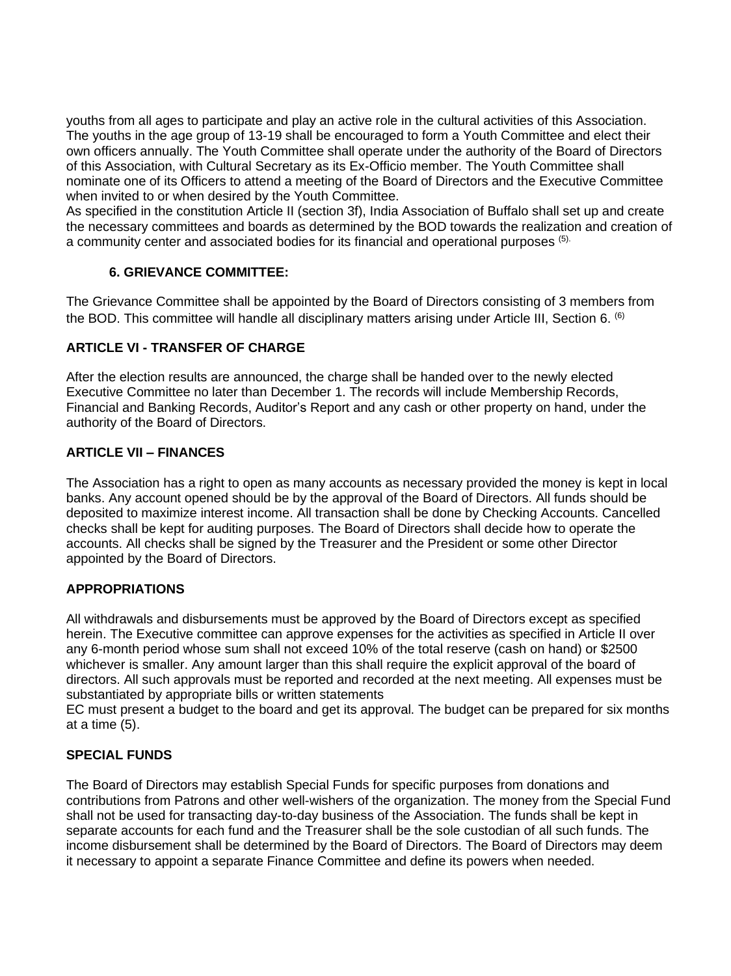youths from all ages to participate and play an active role in the cultural activities of this Association. The youths in the age group of 13-19 shall be encouraged to form a Youth Committee and elect their own officers annually. The Youth Committee shall operate under the authority of the Board of Directors of this Association, with Cultural Secretary as its Ex-Officio member. The Youth Committee shall nominate one of its Officers to attend a meeting of the Board of Directors and the Executive Committee when invited to or when desired by the Youth Committee.

As specified in the constitution Article II (section 3f), India Association of Buffalo shall set up and create the necessary committees and boards as determined by the BOD towards the realization and creation of a community center and associated bodies for its financial and operational purposes (5).

## **6. GRIEVANCE COMMITTEE:**

The Grievance Committee shall be appointed by the Board of Directors consisting of 3 members from the BOD. This committee will handle all disciplinary matters arising under Article III, Section 6. <sup>(6)</sup>

## **ARTICLE VI - TRANSFER OF CHARGE**

After the election results are announced, the charge shall be handed over to the newly elected Executive Committee no later than December 1. The records will include Membership Records, Financial and Banking Records, Auditor's Report and any cash or other property on hand, under the authority of the Board of Directors.

### **ARTICLE VII – FINANCES**

The Association has a right to open as many accounts as necessary provided the money is kept in local banks. Any account opened should be by the approval of the Board of Directors. All funds should be deposited to maximize interest income. All transaction shall be done by Checking Accounts. Cancelled checks shall be kept for auditing purposes. The Board of Directors shall decide how to operate the accounts. All checks shall be signed by the Treasurer and the President or some other Director appointed by the Board of Directors.

### **APPROPRIATIONS**

All withdrawals and disbursements must be approved by the Board of Directors except as specified herein. The Executive committee can approve expenses for the activities as specified in Article II over any 6-month period whose sum shall not exceed 10% of the total reserve (cash on hand) or \$2500 whichever is smaller. Any amount larger than this shall require the explicit approval of the board of directors. All such approvals must be reported and recorded at the next meeting. All expenses must be substantiated by appropriate bills or written statements

EC must present a budget to the board and get its approval. The budget can be prepared for six months at a time (5).

# **SPECIAL FUNDS**

The Board of Directors may establish Special Funds for specific purposes from donations and contributions from Patrons and other well-wishers of the organization. The money from the Special Fund shall not be used for transacting day-to-day business of the Association. The funds shall be kept in separate accounts for each fund and the Treasurer shall be the sole custodian of all such funds. The income disbursement shall be determined by the Board of Directors. The Board of Directors may deem it necessary to appoint a separate Finance Committee and define its powers when needed.